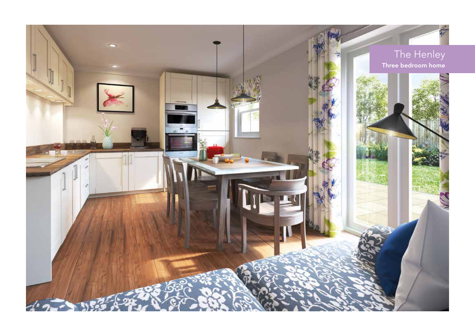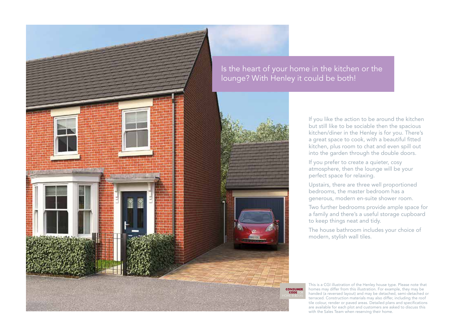

Is the heart of your home in the kitchen or the lounge? With Henley it could be both!

> **CONSUMER** CODE

If you like the action to be around the kitchen but still like to be sociable then the spacious kitchen/diner in the Henley is for you. There's a great space to cook, with a beautiful fitted kitchen, plus room to chat and even spill out into the garden through the double doors.

If you prefer to create a quieter, cosy atmosphere, then the lounge will be your perfect space for relaxing.

Upstairs, there are three well proportioned bedrooms, the master bedroom has a generous, modern en-suite shower room.

Two further bedrooms provide ample space for a family and there's a useful storage cupboard to keep things neat and tidy.

The house bathroom includes your choice of modern, stylish wall tiles.

This is a CGI illustration of the Henley house type. Please note that homes may differ from this illustration. For example, they may be handed (a reversed layout) and may be detached, semi-detached or terraced. Construction materials may also differ, including the roof tile colour, render or paved areas. Detailed plans and specifications are available for each plot and customers are asked to discuss this with the Sales Team when reserving their home.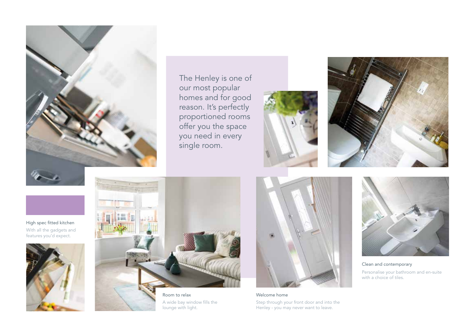

The Henley is one of our most popular homes and for good reason. It's perfectly proportioned rooms offer you the space you need in every single room.





High spec fitted kitchen With all the gadgets and features you'd expect.





Room to relax A wide bay window fills the lounge with light.



Welcome home Step through your front door and into the Henley - you may never want to leave.



Clean and contemporary Personalise your bathroom and en-suite with a choice of tiles.